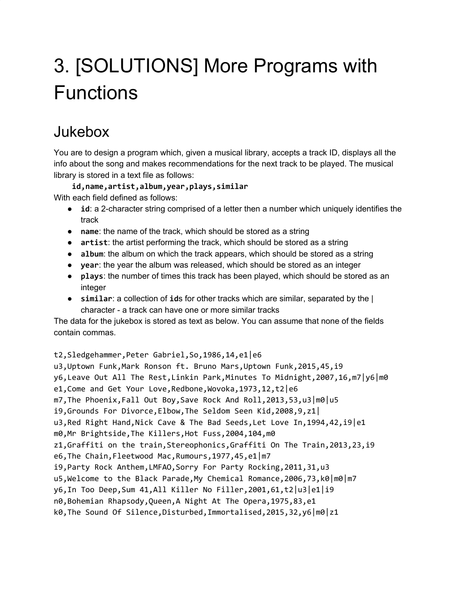## 3. [SOLUTIONS] More Programs with **Functions**

## Jukebox

You are to design a program which, given a musical library, accepts a track ID, displays all the info about the song and makes recommendations for the next track to be played. The musical library is stored in a text file as follows:

**id,name,artist,album,year,plays,similar** With each field defined as follows:

- **id**: a 2-character string comprised of a letter then a number which uniquely identifies the track
- **name:** the name of the track, which should be stored as a string
- **artist**: the artist performing the track, which should be stored as a string
- **album**: the album on which the track appears, which should be stored as a string
- **year**: the year the album was released, which should be stored as an integer
- **plays**: the number of times this track has been played, which should be stored as an integer
- **similar**: a collection of **id**s for other tracks which are similar, separated by the | character - a track can have one or more similar tracks

The data for the jukebox is stored as text as below. You can assume that none of the fields contain commas.

t2,Sledgehammer,Peter Gabriel,So,1986,14,e1|e6 u3,Uptown Funk,Mark Ronson ft. Bruno Mars,Uptown Funk,2015,45,i9 y6,Leave Out All The Rest,Linkin Park,Minutes To Midnight,2007,16,m7|y6|m0 e1, Come and Get Your Love, Redbone, Wovoka, 1973, 12, t2 e6 m7,The Phoenix,Fall Out Boy,Save Rock And Roll,2013,53,u3|m0|u5 i9,Grounds For Divorce,Elbow,The Seldom Seen Kid,2008,9,z1| u3, Red Right Hand, Nick Cave & The Bad Seeds, Let Love In, 1994, 42, i9 e1 m0,Mr Brightside,The Killers,Hot Fuss,2004,104,m0 z1,Graffiti on the train,Stereophonics,Graffiti On The Train,2013,23,i9 e6,The Chain,Fleetwood Mac,Rumours,1977,45,e1|m7 i9,Party Rock Anthem,LMFAO,Sorry For Party Rocking,2011,31,u3 u5, Welcome to the Black Parade, My Chemical Romance, 2006, 73, k0 | m0 | m7 y6,In Too Deep,Sum 41,All Killer No Filler,2001,61,t2|u3|e1|i9 n0,Bohemian Rhapsody,Queen,A Night At The Opera,1975,83,e1 k0,The Sound Of Silence,Disturbed,Immortalised,2015,32,y6|m0|z1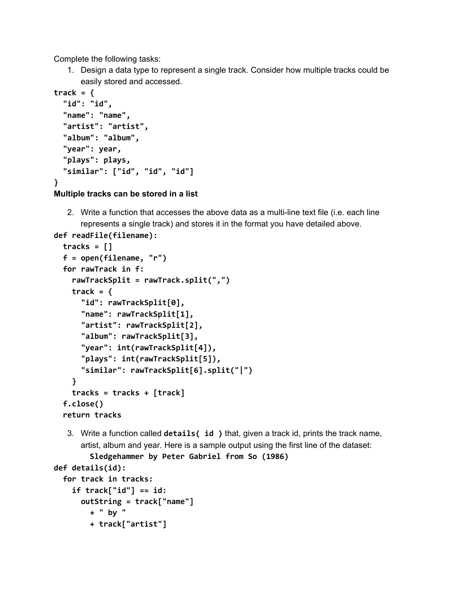Complete the following tasks:

1. Design a data type to represent a single track. Consider how multiple tracks could be easily stored and accessed.

```
track = {
  "id": "id",
  "name": "name",
  "artist": "artist",
  "album": "album",
  "year": year,
  "plays": plays,
  "similar": ["id", "id", "id"]
}
```
**Multiple tracks can be stored in a list**

2. Write a function that accesses the above data as a multi-line text file (i.e. each line represents a single track) and stores it in the format you have detailed above.

```
def readFile(filename):
  tracks = []
  f = open(filename, "r")
  for rawTrack in f:
    rawTrackSplit = rawTrack.split(",")
   track = {
      "id": rawTrackSplit[0],
      "name": rawTrackSplit[1],
      "artist": rawTrackSplit[2],
      "album": rawTrackSplit[3],
      "year": int(rawTrackSplit[4]),
      "plays": int(rawTrackSplit[5]),
      "similar": rawTrackSplit[6].split("|")
    }
    tracks = tracks + [track]
  f.close()
  return tracks
```
- 3. Write a function called **details( id )** that, given a track id, prints the track name, artist, album and year. Here is a sample output using the first line of the dataset:
	- **Sledgehammer by Peter Gabriel from So (1986)**

```
def details(id):
```

```
for track in tracks:
  if track["id"] == id:
    outString = track["name"]
      + " by "
      + track["artist"]
```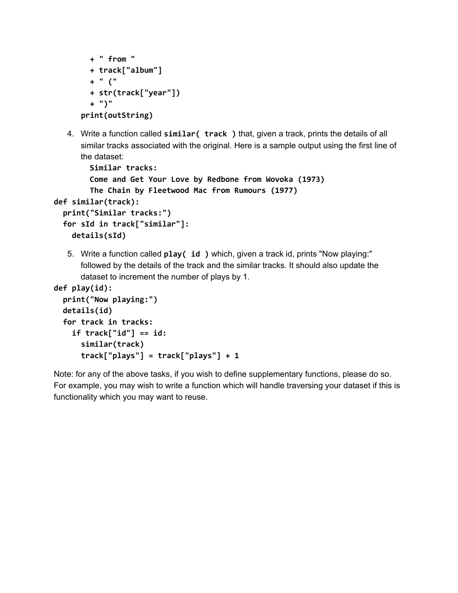```
+ " from "
  + track["album"]
 + " ("
 + str(track["year"])
  + ")"
print(outString)
```
4. Write a function called **similar( track )** that, given a track, prints the details of all similar tracks associated with the original. Here is a sample output using the first line of the dataset:

```
Similar tracks:
        Come and Get Your Love by Redbone from Wovoka (1973)
        The Chain by Fleetwood Mac from Rumours (1977)
def similar(track):
  print("Similar tracks:")
  for sId in track["similar"]:
    details(sId)
```
5. Write a function called **play( id )** which, given a track id, prints "Now playing:" followed by the details of the track and the similar tracks. It should also update the dataset to increment the number of plays by 1.

```
def play(id):
  print("Now playing:")
  details(id)
  for track in tracks:
    if track["id"] == id:
      similar(track)
      track["plays"] = track["plays"] + 1
```
Note: for any of the above tasks, if you wish to define supplementary functions, please do so. For example, you may wish to write a function which will handle traversing your dataset if this is functionality which you may want to reuse.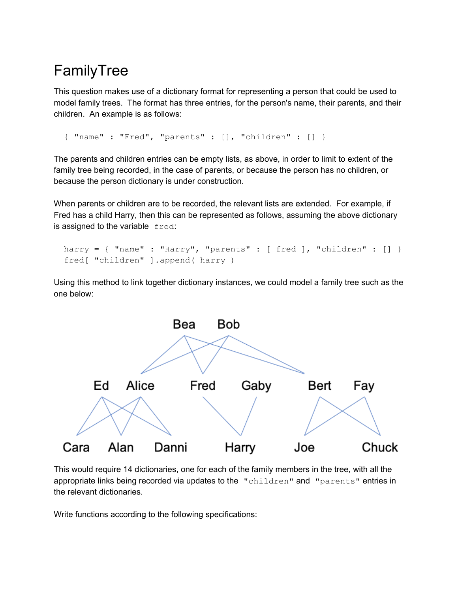## FamilyTree

This question makes use of a dictionary format for representing a person that could be used to model family trees. The format has three entries, for the person's name, their parents, and their children. An example is as follows:

```
{ "name" : "Fred", "parents" : [], "children" : [] }
```
The parents and children entries can be empty lists, as above, in order to limit to extent of the family tree being recorded, in the case of parents, or because the person has no children, or because the person dictionary is under construction.

When parents or children are to be recorded, the relevant lists are extended. For example, if Fred has a child Harry, then this can be represented as follows, assuming the above dictionary is assigned to the variable fred:

```
harry = { "name" : "Harry", "parents" : [ fred ], "children" : [] }
fred[ "children" ].append( harry )
```
Using this method to link together dictionary instances, we could model a family tree such as the one below:



This would require 14 dictionaries, one for each of the family members in the tree, with all the appropriate links being recorded via updates to the "children" and "parents" entries in the relevant dictionaries.

Write functions according to the following specifications: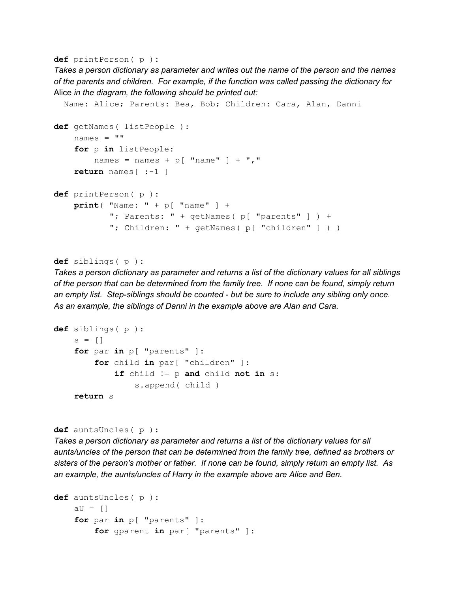**def** printPerson( p ):

*Takes a person dictionary as parameter and writes out the name of the person and the names of the parents and children. For example, if the function was called passing the dictionary for* Alice *in the diagram, the following should be printed out:*

```
Name: Alice; Parents: Bea, Bob; Children: Cara, Alan, Danni
def getNames( listPeople ):
   names = "for p in listPeople:
        names = names + p[ "name" ] + ", "
   return names[ :-1 ]
def printPerson( p ):
   print( "Name: " + p[ "name" ] +
           "; Parents: " + getNames( p[ "parents" ] ) +
           "; Children: " + getNames( p[ "children" ] ) )
```

```
def siblings( p ):
```
*Takes a person dictionary as parameter and returns a list of the dictionary values for all siblings of the person that can be determined from the family tree. If none can be found, simply return an empty list. Step-siblings should be counted - but be sure to include any sibling only once. As an example, the siblings of Danni in the example above are Alan and Cara.*

```
def siblings( p ):
    s = \lceil \rceilfor par in p[ "parents" ]:
         for child in par[ "children" ]:
             if child != p and child not in s:
                 s.append( child )
    return s
```

```
def auntsUncles( p ):
```
*Takes a person dictionary as parameter and returns a list of the dictionary values for all aunts/uncles of the person that can be determined from the family tree, defined as brothers or sisters of the person's mother or father. If none can be found, simply return an empty list. As an example, the aunts/uncles of Harry in the example above are Alice and Ben.*

```
def auntsUncles( p ):
   aU = []for par in p[ "parents" ]:
        for gparent in par[ "parents" ]:
```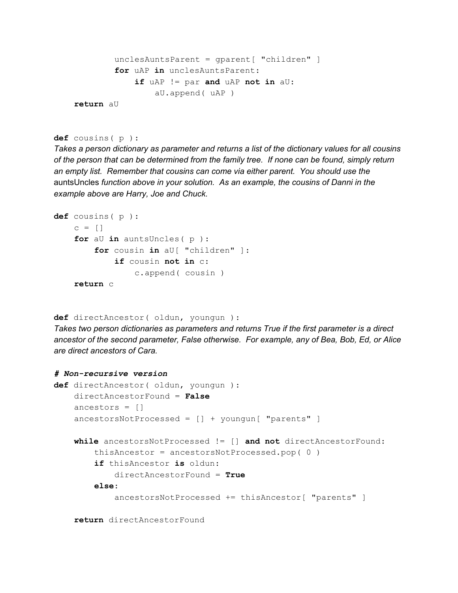```
unclesAuntsParent = gparent[ "children" ]
        for uAP in unclesAuntsParent:
            if uAP != par and uAP not in aU:
                aU.append( uAP )
return aU
```

```
def cousins( p ):
```
*Takes a person dictionary as parameter and returns a list of the dictionary values for all cousins of the person that can be determined from the family tree. If none can be found, simply return an empty list. Remember that cousins can come via either parent. You should use the* auntsUncles *function above in your solution. As an example, the cousins of Danni in the example above are Harry, Joe and Chuck.*

```
def cousins( p ):
    c = \lceil \rceilfor aU in auntsUncles( p ):
         for cousin in aU[ "children" ]:
             if cousin not in c:
                 c.append( cousin )
    return c
```

```
def directAncestor( oldun, youngun ):
```
*Takes two person dictionaries as parameters and returns True if the first parameter is a direct ancestor of the second parameter, False otherwise. For example, any of Bea, Bob, Ed, or Alice are direct ancestors of Cara.*

```
# Non-recursive version
def directAncestor( oldun, youngun ):
    directAncestorFound = False
    ancestors = \lceil]
    ancestorsNotProcessed = [] + youngun[ "parents" ]
    while ancestorsNotProcessed != [] and not directAncestorFound:
        thisAncestor = ancestorsNotProcessed.pop( 0 )
        if thisAncestor is oldun:
            directAncestorFound = True
        else:
            ancestorsNotProcessed += thisAncestor[ "parents" ]
```

```
return directAncestorFound
```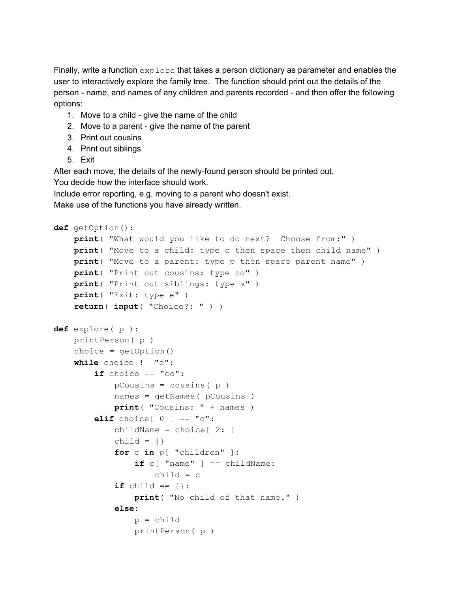Finally, write a function explore that takes a person dictionary as parameter and enables the user to interactively explore the family tree. The function should print out the details of the person - name, and names of any children and parents recorded - and then offer the following options:

- 1. Move to a child give the name of the child
- 2. Move to a parent give the name of the parent
- 3. Print out cousins
- 4. Print out siblings
- 5. Exit

After each move, the details of the newly-found person should be printed out. You decide how the interface should work.

Include error reporting, e.g. moving to a parent who doesn't exist.

Make use of the functions you have already written.

```
def getOption():
   print( "What would you like to do next? Choose from:" )
   print( "Move to a child: type c then space then child name" )
   print( "Move to a parent: type p then space parent name" )
   print( "Print out cousins: type co" )
   print( "Print out siblings: type s" )
   print( "Exit: type e" )
   return( input( "Choice?: " ) )
def explore( p ):
   printPerson( p )
   choice = getOption()
   while choice != "e":
        if choice == "co":pCousins = cousins(p)names = getNames( pCousins )
            print( "Cousins: " + names )
        elif choice[0] == "c":
            childName = choice[ 2: ]child = \{\}for c in p[ "children" ]:
                if c[ "name" ] == childName:
                    child = cif child == \{\}:
                print( "No child of that name." )
            else:
                p = childprintPerson( p )
```